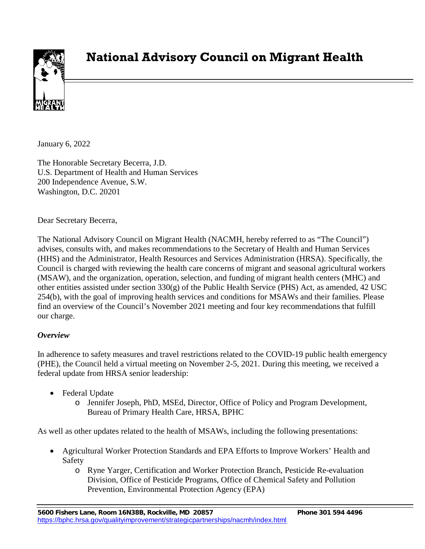

# **National Advisory Council on Migrant Health**

January 6, 2022

The Honorable Secretary Becerra, J.D. U.S. Department of Health and Human Services 200 Independence Avenue, S.W. Washington, D.C. 20201

Dear Secretary Becerra,

The National Advisory Council on Migrant Health (NACMH, hereby referred to as "The Council") advises, consults with, and makes recommendations to the Secretary of Health and Human Services (HHS) and the Administrator, Health Resources and Services Administration (HRSA). Specifically, the Council is charged with reviewing the health care concerns of migrant and seasonal agricultural workers (MSAW), and the organization, operation, selection, and funding of migrant health centers (MHC) and other entities assisted under section  $330(g)$  of the Public Health Service (PHS) Act, as amended, 42 USC 254(b), with the goal of improving health services and conditions for MSAWs and their families. Please find an overview of the Council's November 2021 meeting and four key recommendations that fulfill our charge.

#### *Overview*

In adherence to safety measures and travel restrictions related to the COVID-19 public health emergency (PHE), the Council held a virtual meeting on November 2-5, 2021. During this meeting, we received a federal update from HRSA senior leadership:

- Federal Update
	- o Jennifer Joseph, PhD, MSEd, Director, Office of Policy and Program Development, Bureau of Primary Health Care, HRSA, BPHC

As well as other updates related to the health of MSAWs, including the following presentations:

- Agricultural Worker Protection Standards and EPA Efforts to Improve Workers' Health and Safety
	- o Ryne Yarger, Certification and Worker Protection Branch, Pesticide Re-evaluation Division, Office of Pesticide Programs, Office of Chemical Safety and Pollution Prevention, Environmental Protection Agency (EPA)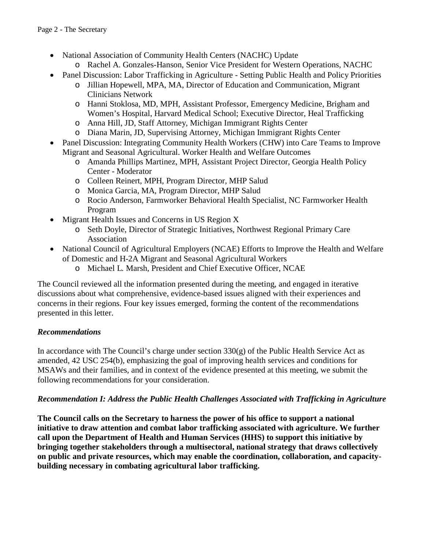- National Association of Community Health Centers (NACHC) Update
	- o Rachel A. Gonzales-Hanson, Senior Vice President for Western Operations, NACHC
- Panel Discussion: Labor Trafficking in Agriculture Setting Public Health and Policy Priorities
	- o Jillian Hopewell, MPA, MA, Director of Education and Communication, Migrant Clinicians Network
	- o Hanni Stoklosa, MD, MPH, Assistant Professor, Emergency Medicine, Brigham and Women's Hospital, Harvard Medical School; Executive Director, Heal Trafficking
	- o Anna Hill, JD, Staff Attorney, Michigan Immigrant Rights Center
	- o Diana Marin, JD, Supervising Attorney, Michigan Immigrant Rights Center
- Panel Discussion: Integrating Community Health Workers (CHW) into Care Teams to Improve Migrant and Seasonal Agricultural. Worker Health and Welfare Outcomes
	- o Amanda Phillips Martinez, MPH, Assistant Project Director, Georgia Health Policy Center - Moderator
	- o Colleen Reinert, MPH, Program Director, MHP Salud
	- o Monica Garcia, MA, Program Director, MHP Salud
	- o Rocio Anderson, Farmworker Behavioral Health Specialist, NC Farmworker Health Program
- Migrant Health Issues and Concerns in US Region X
	- o Seth Doyle, Director of Strategic Initiatives, Northwest Regional Primary Care Association
- National Council of Agricultural Employers (NCAE) Efforts to Improve the Health and Welfare of Domestic and H-2A Migrant and Seasonal Agricultural Workers
	- o Michael L. Marsh, President and Chief Executive Officer, NCAE

The Council reviewed all the information presented during the meeting, and engaged in iterative discussions about what comprehensive, evidence-based issues aligned with their experiences and concerns in their regions. Four key issues emerged, forming the content of the recommendations presented in this letter.

## *Recommendations*

In accordance with The Council's charge under section  $330(g)$  of the Public Health Service Act as amended, 42 USC 254(b), emphasizing the goal of improving health services and conditions for MSAWs and their families, and in context of the evidence presented at this meeting, we submit the following recommendations for your consideration.

#### *Recommendation I: Address the Public Health Challenges Associated with Trafficking in Agriculture*

**The Council calls on the Secretary to harness the power of his office to support a national initiative to draw attention and combat labor trafficking associated with agriculture. We further call upon the Department of Health and Human Services (HHS) to support this initiative by bringing together stakeholders through a multisectoral, national strategy that draws collectively on public and private resources, which may enable the coordination, collaboration, and capacitybuilding necessary in combating agricultural labor trafficking.**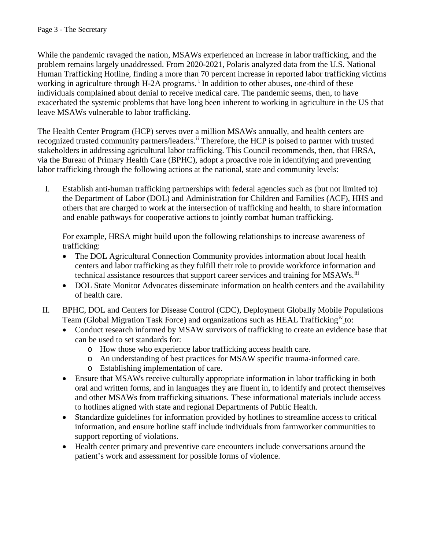While the pandemic ravaged the nation, MSAWs experienced an increase in labor trafficking, and the problem remains largely unaddressed. From 2020-2021, Polaris analyzed data from the U.S. National Human Trafficking Hotline, finding a more than 70 percent increase in reported labor trafficking victims work[i](#page-11-0)ng in agriculture through H-2A programs.<sup>i</sup> In addition to other abuses, one-third of these individuals complained about denial to receive medical care. The pandemic seems, then, to have exacerbated the systemic problems that have long been inherent to working in agriculture in the US that leave MSAWs vulnerable to labor trafficking.

The Health Center Program (HCP) serves over a million MSAWs annually, and health centers are recognized trusted community partners/leaders.<sup>[ii](#page-11-1)</sup> Therefore, the HCP is poised to partner with trusted stakeholders in addressing agricultural labor trafficking. This Council recommends, then, that HRSA, via the Bureau of Primary Health Care (BPHC), adopt a proactive role in identifying and preventing labor trafficking through the following actions at the national, state and community levels:

I. Establish anti-human trafficking partnerships with federal agencies such as (but not limited to) the Department of Labor (DOL) and Administration for Children and Families (ACF), HHS and others that are charged to work at the intersection of trafficking and health, to share information and enable pathways for cooperative actions to jointly combat human trafficking.

For example, HRSA might build upon the following relationships to increase awareness of trafficking:

- The DOL Agricultural Connection Community provides information about local health centers and labor trafficking as they fulfill their role to provide workforce information and technical assistance resources that support career services and training for MSAWs.<sup>[iii](#page-11-2)</sup>
- DOL State Monitor Advocates disseminate information on health centers and the availability of health care.
- II. BPHC, DOL and Centers for Disease Control (CDC), Deployment Globally Mobile Populations Team (Global Migration Task Force) and organizations such as HEAL Trafficking<sup>[iv](#page-11-3)</sup> to:
	- Conduct research informed by MSAW survivors of trafficking to create an evidence base that can be used to set standards for:
		- o How those who experience labor trafficking access health care.
		- o An understanding of best practices for MSAW specific trauma-informed care.
		- o Establishing implementation of care.
	- Ensure that MSAWs receive culturally appropriate information in labor trafficking in both oral and written forms, and in languages they are fluent in, to identify and protect themselves and other MSAWs from trafficking situations. These informational materials include access to hotlines aligned with state and regional Departments of Public Health.
	- Standardize guidelines for information provided by hotlines to streamline access to critical information, and ensure hotline staff include individuals from farmworker communities to support reporting of violations.
	- Health center primary and preventive care encounters include conversations around the patient's work and assessment for possible forms of violence.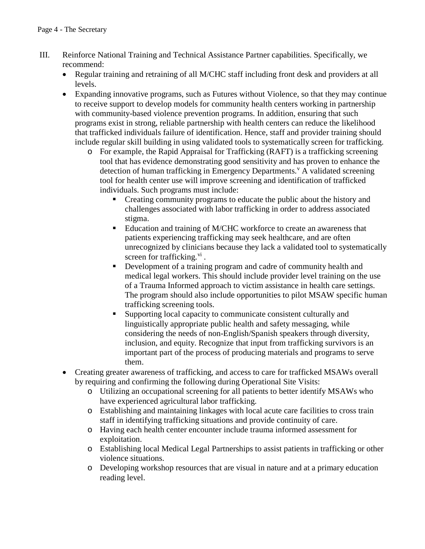- III. Reinforce National Training and Technical Assistance Partner capabilities. Specifically, we recommend:
	- Regular training and retraining of all M/CHC staff including front desk and providers at all levels.
	- Expanding innovative programs, such as Futures without Violence, so that they may continue to receive support to develop models for community health centers working in partnership with community-based violence prevention programs. In addition, ensuring that such programs exist in strong, reliable partnership with health centers can reduce the likelihood that trafficked individuals failure of identification. Hence, staff and provider training should include regular skill building in using validated tools to systematically screen for trafficking.
		- o For example, the Rapid Appraisal for Trafficking (RAFT) is a trafficking screening tool that has evidence demonstrating good sensitivity and has proven to enhance the detection of human trafficking in Emergency Departments.<sup>V</sup> A [v](#page-11-4)alidated screening tool for health center use will improve screening and identification of trafficked individuals. Such programs must include:
			- Creating community programs to educate the public about the history and challenges associated with labor trafficking in order to address associated stigma.
			- Education and training of M/CHC workforce to create an awareness that patients experiencing trafficking may seek healthcare, and are often unrecognized by clinicians because they lack a validated tool to systematically screen for trafficking. $\overline{v}$ .
			- Development of a training program and cadre of community health and medical legal workers. This should include provider level training on the use of a Trauma Informed approach to victim assistance in health care settings. The program should also include opportunities to pilot MSAW specific human trafficking screening tools.
			- Supporting local capacity to communicate consistent culturally and linguistically appropriate public health and safety messaging, while considering the needs of non-English/Spanish speakers through diversity, inclusion, and equity. Recognize that input from trafficking survivors is an important part of the process of producing materials and programs to serve them.
	- Creating greater awareness of trafficking, and access to care for trafficked MSAWs overall by requiring and confirming the following during Operational Site Visits:
		- o Utilizing an occupational screening for all patients to better identify MSAWs who have experienced agricultural labor trafficking.
		- o Establishing and maintaining linkages with local acute care facilities to cross train staff in identifying trafficking situations and provide continuity of care.
		- o Having each health center encounter include trauma informed assessment for exploitation.
		- o Establishing local Medical Legal Partnerships to assist patients in trafficking or other violence situations.
		- o Developing workshop resources that are visual in nature and at a primary education reading level.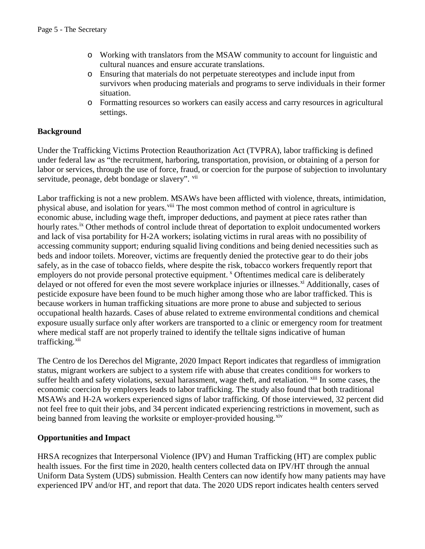- o Working with translators from the MSAW community to account for linguistic and cultural nuances and ensure accurate translations.
- o Ensuring that materials do not perpetuate stereotypes and include input from survivors when producing materials and programs to serve individuals in their former situation.
- o Formatting resources so workers can easily access and carry resources in agricultural settings.

#### **Background**

Under the Trafficking Victims Protection Reauthorization Act (TVPRA), labor trafficking is defined under federal law as "the recruitment, harboring, transportation, provision, or obtaining of a person for labor or services, through the use of force, fraud, or coercion for the purpose of subjection to involuntary servitude, peonage, debt bondage or slavery". [vii](#page-11-6)

Labor trafficking is not a new problem. MSAWs have been afflicted with violence, threats, intimidation, physical abuse, and isolation for years.<sup>[viii](#page-11-7)</sup> The most common method of control in agriculture is economic abuse, including wage theft, improper deductions, and payment at piece rates rather than hourly rates.<sup>ix</sup> Other methods of control include threat of deportation to exploit undocumented workers and lack of visa portability for H-2A workers; isolating victims in rural areas with no possibility of accessing community support; enduring squalid living conditions and being denied necessities such as beds and indoor toilets. Moreover, victims are frequently denied the protective gear to do their jobs safely, as in the case of tobacco fields, where despite the risk, tobacco workers frequently report that employers do not provide personal protective equipment.<sup>[x](#page-11-9)</sup> Oftentimes medical care is deliberately delayed or not offered for even the most severe workplace injuries or illnesses.<sup>[xi](#page-11-10)</sup> Additionally, cases of pesticide exposure have been found to be much higher among those who are labor trafficked. This is because workers in human trafficking situations are more prone to abuse and subjected to serious occupational health hazards. Cases of abuse related to extreme environmental conditions and chemical exposure usually surface only after workers are transported to a clinic or emergency room for treatment where medical staff are not properly trained to identify the telltale signs indicative of human trafficking.<sup>[xii](#page-11-11)</sup>

The Centro de los Derechos del Migrante, 2020 Impact Report indicates that regardless of immigration status, migrant workers are subject to a system rife with abuse that creates conditions for workers to suffer health and safety violations, sexual harassment, wage theft, and retaliation. <sup>[xiii](#page-11-12)</sup> In some cases, the economic coercion by employers leads to labor trafficking. The study also found that both traditional MSAWs and H-2A workers experienced signs of labor trafficking. Of those interviewed, 32 percent did not feel free to quit their jobs, and 34 percent indicated experiencing restrictions in movement, such as being banned from leaving the worksite or employer-provided housing.<sup>[xiv](#page-11-13)</sup>

#### **Opportunities and Impact**

HRSA recognizes that Interpersonal Violence (IPV) and Human Trafficking (HT) are complex public health issues. For the first time in 2020, health centers collected data on IPV/HT through the annual Uniform Data System (UDS) submission. Health Centers can now identify how many patients may have experienced IPV and/or HT, and report that data. The 2020 UDS report indicates health centers served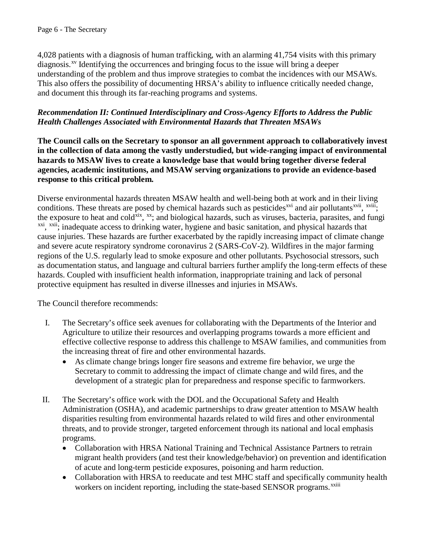4,028 patients with a diagnosis of human trafficking, with an alarming 41,754 visits with this primary diagnosis.<sup>[xv](#page-11-14)</sup> Identifying the occurrences and bringing focus to the issue will bring a deeper understanding of the problem and thus improve strategies to combat the incidences with our MSAWs. This also offers the possibility of documenting HRSA's ability to influence critically needed change, and document this through its far-reaching programs and systems.

## *Recommendation II: Continued Interdisciplinary and Cross-Agency Efforts to Address the Public Health Challenges Associated with Environmental Hazards that Threaten MSAWs*

 **in the collection of data among the vastly understudied, but wide-ranging impact of environmental agencies, academic institutions, and MSAW serving organizations to provide an evidence-based The Council calls on the Secretary to sponsor an all government approach to collaboratively invest hazards to MSAW lives to create a knowledge base that would bring together diverse federal response to this critical problem.** 

Diverse environmental hazards threaten MSAW health and well-being both at work and in their living conditions.These threats are posed by chemical hazards such as pesticides<sup>xvi</sup> and air pollutants<sup>xvii</sup>, <sup>xviii</sup>; the exposure to heat and cold<sup>xix</sup>, <sup>xx</sup>; and biological hazards, such as viruses, bacteria, parasites, and fungi <sup>[xxi](#page-11-20)</sup>, <sup>xxii</sup>; inadequate access to drinking water, hygiene and basic sanitation, and physical hazards that cause injuries. These hazards are further exacerbated by the rapidly increasing impact of climate change and severe acute respiratory syndrome coronavirus 2 (SARS-CoV-2). Wildfires in the major farming regions of the U.S. regularly lead to smoke exposure and other pollutants. Psychosocial stressors, such as documentation status, and language and cultural barriers further amplify the long-term effects of these hazards. Coupled with insufficient health information, inappropriate training and lack of personal protective equipment has resulted in diverse illnesses and injuries in MSAWs.

The Council therefore recommends:

- I. The Secretary's office seek avenues for collaborating with the Departments of the Interior and Agriculture to utilize their resources and overlapping programs towards a more efficient and effective collective response to address this challenge to MSAW families, and communities from the increasing threat of fire and other environmental hazards.
	- As climate change brings longer fire seasons and extreme fire behavior, we urge the Secretary to commit to addressing the impact of climate change and wild fires, and the development of a strategic plan for preparedness and response specific to farmworkers.
- II. The Secretary's office work with the DOL and the Occupational Safety and Health Administration (OSHA), and academic partnerships to draw greater attention to MSAW health threats, and to provide stronger, targeted enforcement through its national and local emphasis disparities resulting from environmental hazards related to wild fires and other environmental programs.
	- Collaboration with HRSA National Training and Technical Assistance Partners to retrain migrant health providers (and test their knowledge/behavior) on prevention and identification of acute and long-term pesticide exposures, poisoning and harm reduction.
	- Collaboration with HRSA to reeducate and test MHC staff and specifically community health workerson incident reporting, including the state-based SENSOR programs.<sup>xxiii</sup>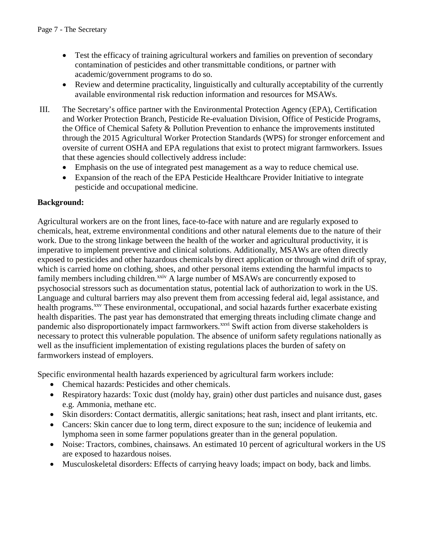- Test the efficacy of training agricultural workers and families on prevention of secondary contamination of pesticides and other transmittable conditions, or partner with academic/government programs to do so.
- Review and determine practicality, linguistically and culturally acceptability of the currently available environmental risk reduction information and resources for MSAWs.
- III. The Secretary's office partner with the Environmental Protection Agency (EPA), Certification and Worker Protection Branch, Pesticide Re-evaluation Division, Office of Pesticide Programs, the Office of Chemical Safety & Pollution Prevention to enhance the improvements instituted through the 2015 Agricultural Worker Protection Standards (WPS) for stronger enforcement and oversite of current OSHA and EPA regulations that exist to protect migrant farmworkers. Issues that these agencies should collectively address include:
	- Emphasis on the use of integrated pest management as a way to reduce chemical use.
	- Expansion of the reach of the EPA Pesticide Healthcare Provider Initiative to integrate pesticide and occupational medicine.

## **Background:**

Agricultural workers are on the front lines, face-to-face with nature and are regularly exposed to chemicals, heat, extreme environmental conditions and other natural elements due to the nature of their work. Due to the strong linkage between the health of the worker and agricultural productivity, it is imperative to implement preventive and clinical solutions. Additionally, MSAWs are often directly exposed to pesticides and other hazardous chemicals by direct application or through wind drift of spray, which is carried home on clothing, shoes, and other personal items extending the harmful impacts to family members including children.<sup>[xxiv](#page-11-23)</sup> A large number of MSAWs are concurrently exposed to psychosocial stressors such as documentation status, potential lack of authorization to work in the US. Language and cultural barriers may also prevent them from accessing federal aid, legal assistance, and health programs.<sup>[xxv](#page-11-24)</sup> These environmental, occupational, and social hazards further exacerbate existing health disparities. The past year has demonstrated that emerging threats including climate change and pandemic also disproportionately impact farmworkers.<sup>[xxvi](#page-11-25)</sup> Swift action from diverse stakeholders is necessary to protect this vulnerable population. The absence of uniform safety regulations nationally as well as the insufficient implementation of existing regulations places the burden of safety on farmworkers instead of employers.

Specific environmental health hazards experienced by agricultural farm workers include:

- Chemical hazards: Pesticides and other chemicals.
- Respiratory hazards: Toxic dust (moldy hay, grain) other dust particles and nuisance dust, gases e.g. Ammonia, methane etc.
- Skin disorders: Contact dermatitis, allergic sanitations; heat rash, insect and plant irritants, etc.
- Cancers: Skin cancer due to long term, direct exposure to the sun; incidence of leukemia and lymphoma seen in some farmer populations greater than in the general population.
- Noise: Tractors, combines, chainsaws. An estimated 10 percent of agricultural workers in the US are exposed to hazardous noises.
- Musculoskeletal disorders: Effects of carrying heavy loads; impact on body, back and limbs.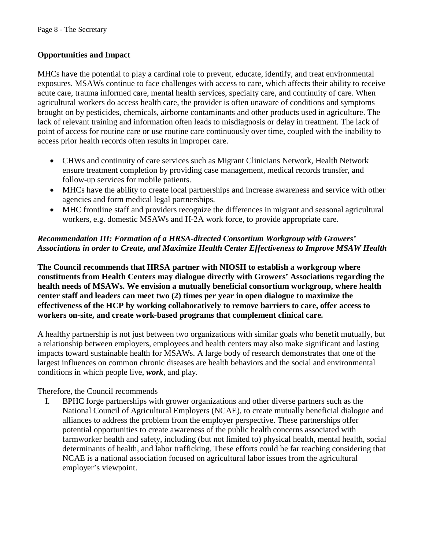## **Opportunities and Impact**

MHCs have the potential to play a cardinal role to prevent, educate, identify, and treat environmental exposures. MSAWs continue to face challenges with access to care, which affects their ability to receive acute care, trauma informed care, mental health services, specialty care, and continuity of care. When agricultural workers do access health care, the provider is often unaware of conditions and symptoms brought on by pesticides, chemicals, airborne contaminants and other products used in agriculture. The lack of relevant training and information often leads to misdiagnosis or delay in treatment. The lack of point of access for routine care or use routine care continuously over time, coupled with the inability to access prior health records often results in improper care.

- CHWs and continuity of care services such as Migrant Clinicians Network, Health Network ensure treatment completion by providing case management, medical records transfer, and follow-up services for mobile patients.
- MHCs have the ability to create local partnerships and increase awareness and service with other agencies and form medical legal partnerships.
- MHC frontline staff and providers recognize the differences in migrant and seasonal agricultural workers, e.g. domestic MSAWs and H-2A work force, to provide appropriate care.

## *Recommendation III: Formation of a HRSA-directed Consortium Workgroup with Growers' Associations in order to Create, and Maximize Health Center Effectiveness to Improve MSAW Health*

**The Council recommends that HRSA partner with NIOSH to establish a workgroup where constituents from Health Centers may dialogue directly with Growers' Associations regarding the health needs of MSAWs. We envision a mutually beneficial consortium workgroup, where health center staff and leaders can meet two (2) times per year in open dialogue to maximize the effectiveness of the HCP by working collaboratively to remove barriers to care, offer access to workers on-site, and create work-based programs that complement clinical care.** 

A healthy partnership is not just between two organizations with similar goals who benefit mutually, but a relationship between employers, employees and health centers may also make significant and lasting impacts toward sustainable health for MSAWs. A large body of research demonstrates that one of the largest influences on common chronic diseases are health behaviors and the social and environmental conditions in which people live, *work*, and play.

Therefore, the Council recommends

I. BPHC forge partnerships with grower organizations and other diverse partners such as the National Council of Agricultural Employers (NCAE), to create mutually beneficial dialogue and alliances to address the problem from the employer perspective. These partnerships offer potential opportunities to create awareness of the public health concerns associated with farmworker health and safety, including (but not limited to) physical health, mental health, social determinants of health, and labor trafficking. These efforts could be far reaching considering that NCAE is a national association focused on agricultural labor issues from the agricultural employer's viewpoint.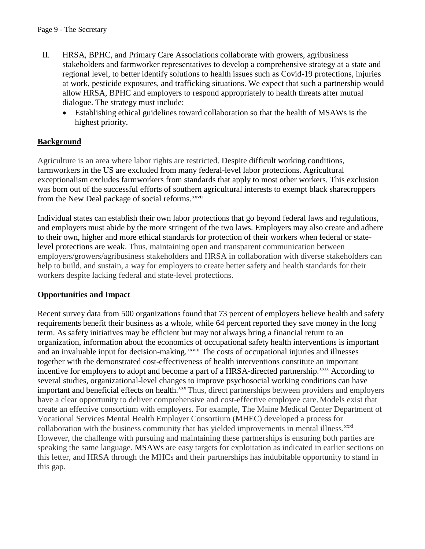- II. HRSA, BPHC, and Primary Care Associations collaborate with growers, agribusiness stakeholders and farmworker representatives to develop a comprehensive strategy at a state and regional level, to better identify solutions to health issues such as Covid-19 protections, injuries at work, pesticide exposures, and trafficking situations. We expect that such a partnership would allow HRSA, BPHC and employers to respond appropriately to health threats after mutual dialogue. The strategy must include:
	- Establishing ethical guidelines toward collaboration so that the health of MSAWs is the highest priority.

## **Background**

Agriculture is an area where labor rights are restricted. Despite difficult working conditions, farmworkers in the US are excluded from many federal-level labor protections. Agricultural exceptionalism excludes farmworkers from standards that apply to most other workers. This exclusion was born out of the successful efforts of southern [a](#page-11-26)gricultural interests to exempt black sharecroppers from the New Deal package of social reforms.<sup>xxvii</sup>

Individual states can establish their own labor protections that go beyond federal laws and regulations, and employers must abide by the more stringent of the two laws. Employers may also create and adhere to their own, higher and more ethical standards for protection of their workers when federal or statelevel protections are weak. Thus, maintaining open and transparent communication between employers/growers/agribusiness stakeholders and HRSA in collaboration with diverse stakeholders can help to build, and sustain, a way for employers to create better safety and health standards for their workers despite lacking federal and state-level protections.

#### **Opportunities and Impact**

Recent survey data from 500 organizations found that 73 percent of employers believe health and safety requirements benefit their business as a whole, while 64 percent reported they save money in the long term. As safety initiatives may be efficient but may not always bring a financial return to an organization, information about the economics o[f](#page-11-27) occupational safety health interventions is important and an invaluable input for decision-making.<sup>xxviii</sup> The costs of occupational injuries and illnesses together with the demonstrated cost-effectiveness of health interventions constitute an important incentive for employers to adopt and become a part of a HRSA-directed partnership.<sup>xxix</sup> According to several studies, organizational-level changes to improve psychosocial working conditions can have important and beneficial effects on health.<sup>[xxx](#page-11-29)</sup>Thus, direct partnerships between providers and employers have a clear opportunity to deliver comprehensive and cost-effective employee care. Models exist that create an effective consortium with employers. For example, The Maine Medical Center Department of Vocational Services Mental Health Employer Consortium (MHEC) developed a process for collaboration with the business community that has yielded improvements in mental illness.<sup>[xxxi](#page-11-30)</sup> However, the challenge with pursuing and maintaining these partnerships is ensuring both parties are speaking the same language. MSAWs are easy targets for exploitation as indicated in earlier sections on this letter, and HRSA through the MHCs and their partnerships has indubitable opportunity to stand in this gap.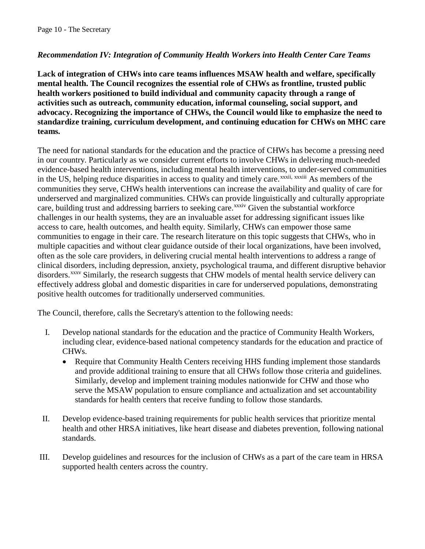## *Recommendation IV: Integration of Community Health Workers into Health Center Care Teams*

**Lack of integration of CHWs into care teams influences MSAW health and welfare, specifically mental health. The Council recognizes the essential role of CHWs as frontline, trusted public health workers positioned to build individual and community capacity through a range of activities such as outreach, community education, informal counseling, social support, and advocacy. Recognizing the importance of CHWs, the Council would like to emphasize the need to standardize training, curriculum development, and continuing education for CHWs on MHC care teams.**

The need for national standards for the education and the practice of CHWs has become a pressing need in our country. Particularly as we consider current efforts to involve CHWs in delivering much-needed evidence-based health interventions, including mental health interventions, to under-served communities in the US[,](#page-11-31) helping reduce disparities in access to quality and timely care.<sup>xxxii, xxxiii</sup> As members of the care, building trust and addressing barriers to seeking care.<sup>xxxiv</sup> Given the substantial workforce communities they serve, CHWs health interventions can increase the availability and quality of care for underserved and marginalized communities. CHWs can provi[de](#page-12-0) linguistically and culturally appropriate challenges in our health systems, they are an invaluable asset for addressing significant issues like access to care, health outcomes, and health equity. Similarly, CHWs can empower those same communities to engage in their care. The research literature on this topic suggests that CHWs, who in multiple capacities and without clear guidance outside of their local organizations, have been involved, often as the sole care providers, in delivering crucial mental health interventions to address a range of clinical disorders, including depression, anxiety, psychological trauma, and different disruptive behavior disorders.<sup>[xxxv](#page-12-1)</sup> Similarly, the research suggests that CHW models of mental health service delivery can effectively address global and domestic disparities in care for underserved populations, demonstrating positive health outcomes for traditionally underserved communities.

The Council, therefore, calls the Secretary's attention to the following needs:

- I. Develop national standards for the education and the practice of Community Health Workers, including clear, evidence-based national competency standards for the education and practice of CHWs.
	- Require that Community Health Centers receiving HHS funding implement those standards and provide additional training to ensure that all CHWs follow those criteria and guidelines. Similarly, develop and implement training modules nationwide for CHW and those who serve the MSAW population to ensure compliance and actualization and set accountability standards for health centers that receive funding to follow those standards.
- II. Develop evidence-based training requirements for public health services that prioritize mental health and other HRSA initiatives, like heart disease and diabetes prevention, following national standards.
- III. Develop guidelines and resources for the inclusion of CHWs as a part of the care team in HRSA supported health centers across the country.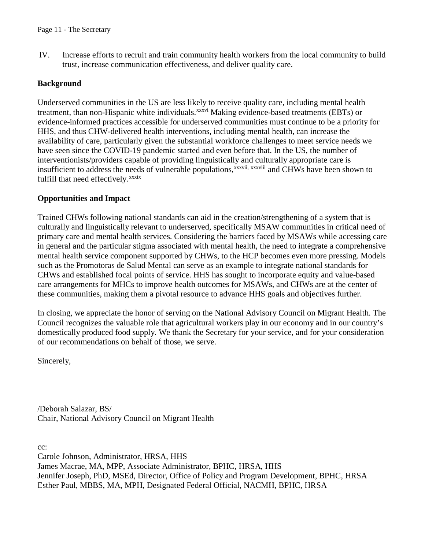IV. Increase efforts to recruit and train community health workers from the local community to build trust, increase communication effectiveness, and deliver quality care.

## **Background**

Underserved communities in the US are less likely [t](#page-12-2)o receive quality care, including mental health treatment, than non-Hispanic white individuals.<sup>xxxvi</sup> Making evidence-based treatments (EBTs) or insufficient to address the nee[ds](#page-12-5) of vulnerable populations,<sup>xxxvii[,](#page-12-3) xxxviii</sup> and CHWs have been shown to fulfill that need effectively. xxxix evidence-informed practices accessible for underserved communities must continue to be a priority for HHS, and thus CHW-delivered health interventions, including mental health, can increase the availability of care, particularly given the substantial workforce challenges to meet service needs we have seen since the COVID-19 pandemic started and even before that. In the US, the number of interventionists/providers capable of providing linguistically and culturally appropriate care is

#### **Opportunities and Impact**

Trained CHWs following national standards can aid in the creation/strengthening of a system that is culturally and linguistically relevant to underserved, specifically MSAW communities in critical need of primary care and mental health services. Considering the barriers faced by MSAWs while accessing care in general and the particular stigma associated with mental health, the need to integrate a comprehensive mental health service component supported by CHWs, to the HCP becomes even more pressing. Models such as the Promotoras de Salud Mental can serve as an example to integrate national standards for CHWs and established focal points of service. HHS has sought to incorporate equity and value-based care arrangements for MHCs to improve health outcomes for MSAWs, and CHWs are at the center of these communities, making them a pivotal resource to advance HHS goals and objectives further.

In closing, we appreciate the honor of serving on the National Advisory Council on Migrant Health. The Council recognizes the valuable role that agricultural workers play in our economy and in our country's domestically produced food supply. We thank the Secretary for your service, and for your consideration of our recommendations on behalf of those, we serve.

Sincerely,

/Deborah Salazar, BS/ Chair, National Advisory Council on Migrant Health

cc:

Carole Johnson, Administrator, HRSA, HHS James Macrae, MA, MPP, Associate Administrator, BPHC, HRSA, HHS Jennifer Joseph, PhD, MSEd, Director, Office of Policy and Program Development, BPHC, HRSA Esther Paul, MBBS, MA, MPH, Designated Federal Official, NACMH, BPHC, HRSA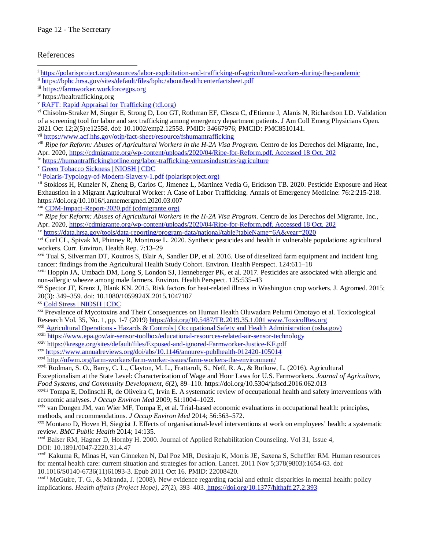#### References

<sup>i</sup> <https://polarisproject.org/resources/labor-exploitation-and-trafficking-of-agricultural-workers-during-the-pandemic>  $\overline{a}$ 

<span id="page-11-1"></span><span id="page-11-0"></span>ii <https://bphc.hrsa.gov/sites/default/files/bphc/about/healthcenterfactsheet.pdf>

<span id="page-11-3"></span>iv https://healtrafficking.org

<span id="page-11-4"></span><sup>v</sup> [RAFT: Rapid Appraisal for Trafficking \(tdl.org\)](https://unthsc-ir.tdl.org/handle/20.500.12503/30223?show=full#:%7E:text=RAFT%3A%20Rapid%20Appraisal%20for%20Trafficking%20%20%20dc.contributor.author,%20Sunderji%2C%20Aman%20%2012%20more%20rows%20)

<span id="page-11-5"></span>vi Chisolm-Straker M, Singer E, Strong D, Loo GT, Rothman EF, Clesca C, d'Etienne J, Alanis N, Richardson LD. Validation of a screening tool for labor and sex trafficking among emergency department patients. J Am Coll Emerg Physicians Open. 2021 Oct 12;2(5):e12558. doi: 10.1002/emp2.12558. PMID: 34667976; PMCID: PMC8510141.

<span id="page-11-6"></span>vii <https://www.acf.hhs.gov/otip/fact-sheet/resource/fshumantrafficking>

<span id="page-11-7"></span>viii *Ripe for Reform: Abuses of Agricultural Workers in the H-2A Visa Program.* Centro de los Derechos del Migrante, Inc., Apr. 2020, [https://cdmigrante.org/wp-content/uploads/2020/04/Ripe-for-Reform.pdf. Accessed 18 Oct. 202](https://cdmigrante.org/wp-content/uploads/2020/04/Ripe-for-Reform.pdf.%20Accessed%2018%20Oct.%20202)

<span id="page-11-8"></span>ix <https://humantraffickinghotline.org/labor-trafficking-venuesindustries/agriculture>

<span id="page-11-9"></span><sup>x</sup> [Green Tobacco Sickness | NIOSH | CDC](https://www.cdc.gov/niosh/topics/GreenTobaccoSickness/)

<span id="page-11-10"></span>xi [Polaris-Typology-of-Modern-Slavery-1.pdf \(polarisproject.org\)](https://polarisproject.org/wp-content/uploads/2019/09/Polaris-Typology-of-Modern-Slavery-1.pdf)

<span id="page-11-11"></span>xii Stokloss H, Kunzler N, Zheng B, Carlos C, Jimenez L, Martinez Vedia G, Erickson TB. 2020. Pesticide Exposure and Heat Exhaustion in a Migrant Agricultural Worker: A Case of Labor Trafficking. Annals of Emergency Medicine: 76:2:215-218. https://doi.org/10.1016/j.annemergmed.2020.03.007

<span id="page-11-12"></span>xiii [CDM-Impact-Report-2020.pdf \(cdmigrante.org\)](https://cdmigrante.org/wp-content/uploads/2020/11/CDM-Impact-Report-2020.pdf)

<span id="page-11-13"></span>xiv *Ripe for Reform: Abuses of Agricultural Workers in the H-2A Visa Program.* Centro de los Derechos del Migrante, Inc., Apr. 2020, [https://cdmigrante.org/wp-content/uploads/2020/04/Ripe-for-Reform.pdf. Accessed 18 Oct. 202](https://cdmigrante.org/wp-content/uploads/2020/04/Ripe-for-Reform.pdf.%20Accessed%2018%20Oct.%20202)

<span id="page-11-14"></span>xv <https://data.hrsa.gov/tools/data-reporting/program-data/national/table?tableName=6A&year=2020>

<span id="page-11-15"></span>xvi Curl CL, Spivak M, Phinney R, Montrose L. 2020. Synthetic pesticides and health in vulnerable populations: agricultural workers. Curr. Environ. Health Rep. 7:13–29

<span id="page-11-16"></span>xvii Tual S, Silverman DT, Koutros S, Blair A, Sandler DP, et al. 2016. Use of dieselized farm equipment and incident lung cancer: findings from the Agricultural Health Study Cohort. Environ. Health Perspect. 124:611–18

<span id="page-11-17"></span>xviii Hoppin JA, Umbach DM, Long S, London SJ, Henneberger PK, et al. 2017. Pesticides are associated with allergic and non-allergic wheeze among male farmers. Environ. Health Perspect. 125:535–43

<span id="page-11-18"></span>xix Spector JT, Krenz J, Blank KN. 2015. Risk factors for heat-related illness in Washington crop workers. J. Agromed. 2015; 20(3): 349–359. doi: 10.1080/1059924X.2015.1047107 xx [Cold Stress | NIOSH | CDC](https://www.cdc.gov/niosh/topics/coldstress/)

<span id="page-11-20"></span><span id="page-11-19"></span>xxi Prevalence of Mycotoxins and Their Consequences on Human Health Oluwadara Pelumi Omotayo et al. Toxicological Research Vol. 35, No. 1, pp. 1-7 (2019) [https://doi.org/10.5487/TR.2019.35.1.001 www.ToxicolRes.org](https://doi.org/10.5487/TR.2019.35.1.001%20www.ToxicolRes.org)

<span id="page-11-21"></span>xxii [Agricultural Operations - Hazards & Controls | Occupational Safety and Health Administration \(osha.gov\)](https://www.osha.gov/agricultural-operations/hazards)

<span id="page-11-22"></span>xxiii <https://www.epa.gov/air-sensor-toolbox/educational-resources-related-air-sensor-technology>

<span id="page-11-23"></span>xxiv <https://kresge.org/sites/default/files/Exposed-and-ignored-Farmworker-Justice-KF.pdf>

<span id="page-11-24"></span>xxv <https://www.annualreviews.org/doi/abs/10.1146/annurev-publhealth-012420-105014>

<span id="page-11-25"></span>xxvi <http://nfwm.org/farm-workers/farm-worker-issues/farm-workers-the-environment/>

<span id="page-11-26"></span>xxvii Rodman, S. O., Barry, C. L., Clayton, M. L., Frattaroli, S., Neff, R. A., & Rutkow, L. (2016). Agricultural

Exceptionalism at the State Level: Characterization of Wage and Hour Laws for U.S. Farmworkers. *Journal of Agriculture, Food Systems, and Community Development*, *6*(2), 89–110. https://doi.org/10.5304/jafscd.2016.062.013

<span id="page-11-27"></span>xxviii Tompa E, Dolinschi R, de Oliveira C, Irvin E. A systematic review of occupational health and safety interventions with economic analyses. *J Occup Environ Med* 2009; 51:1004–1023.

<span id="page-11-28"></span>xxix van Dongen JM, van Wier MF, Tompa E, et al. Trial-based economic evaluations in occupational health: principles, methods, and recommendations. *J Occup Environ Med* 2014; 56:563–572.<br><sup>xxx</sup> Montano D, Hoven H, Siegrist J. Effects of organisational-level interventions at work on employees' health: a systematic

<span id="page-11-29"></span>review. *BMC Public Health* 2014; 14:135.

<span id="page-11-30"></span>xxxi Balser RM, Hagner D, Hornby H. 2000. Journal of Applied Rehabilitation Counseling. Vol 31, Issue 4, DOI: 10.1891/0047-2220.31.4.47

<span id="page-11-31"></span>xxxii Kakuma R, Minas H, van Ginneken N, Dal Poz MR, Desiraju K, Morris JE, Saxena S, Scheffler RM. Human resources for mental health care: current situation and strategies for action. Lancet. 2011 Nov 5;378(9803):1654-63. doi: 10.1016/S0140-6736(11)61093-3. Epub 2011 Oct 16. PMID: 22008420.

<span id="page-11-32"></span>xxxiii McGuire, T. G., & Miranda, J. (2008). New evidence regarding racial and ethnic disparities in mental health: policy implications. *Health affairs (Project Hope)*, *27*(2), 393–403[. https://doi.org/10.1377/hlthaff.27.2.393](https://doi.org/10.1377/hlthaff.27.2.393)

<span id="page-11-2"></span>iii [https://farmworker.workforcegps.org](https://farmworker.workforcegps.org/)